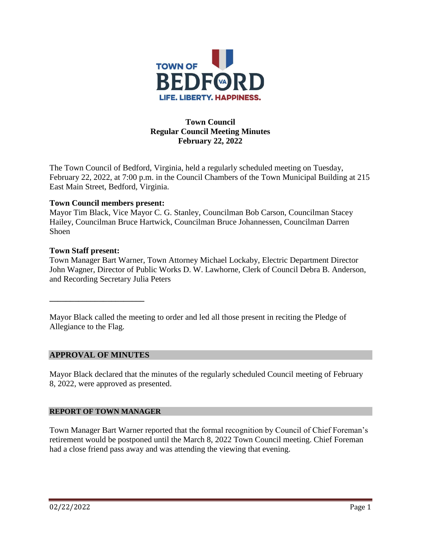

# **Town Council Regular Council Meeting Minutes February 22, 2022**

The Town Council of Bedford, Virginia, held a regularly scheduled meeting on Tuesday, February 22, 2022, at 7:00 p.m. in the Council Chambers of the Town Municipal Building at 215 East Main Street, Bedford, Virginia.

### **Town Council members present:**

Mayor Tim Black, Vice Mayor C. G. Stanley, Councilman Bob Carson, Councilman Stacey Hailey, Councilman Bruce Hartwick, Councilman Bruce Johannessen, Councilman Darren Shoen

### **Town Staff present:**

Town Manager Bart Warner, Town Attorney Michael Lockaby, Electric Department Director John Wagner, Director of Public Works D. W. Lawhorne, Clerk of Council Debra B. Anderson, and Recording Secretary Julia Peters

Mayor Black called the meeting to order and led all those present in reciting the Pledge of Allegiance to the Flag.

## **APPROVAL OF MINUTES**

**\_\_\_\_\_\_\_\_\_\_\_\_\_\_\_\_\_\_\_\_\_\_\_**

Mayor Black declared that the minutes of the regularly scheduled Council meeting of February 8, 2022, were approved as presented.

### **REPORT OF TOWN MANAGER**

Town Manager Bart Warner reported that the formal recognition by Council of Chief Foreman's retirement would be postponed until the March 8, 2022 Town Council meeting. Chief Foreman had a close friend pass away and was attending the viewing that evening.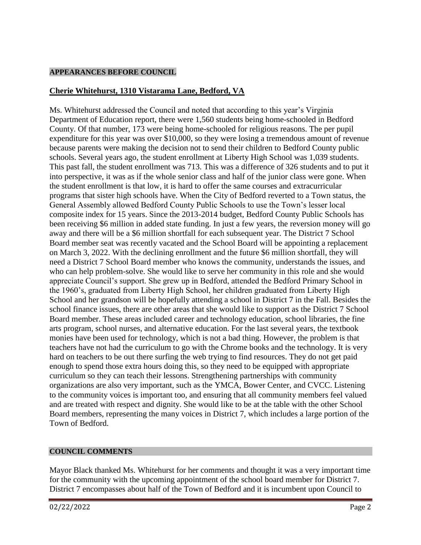### **APPEARANCES BEFORE COUNCIL**

# **Cherie Whitehurst, 1310 Vistarama Lane, Bedford, VA**

Ms. Whitehurst addressed the Council and noted that according to this year's Virginia Department of Education report, there were 1,560 students being home-schooled in Bedford County. Of that number, 173 were being home-schooled for religious reasons. The per pupil expenditure for this year was over \$10,000, so they were losing a tremendous amount of revenue because parents were making the decision not to send their children to Bedford County public schools. Several years ago, the student enrollment at Liberty High School was 1,039 students. This past fall, the student enrollment was 713. This was a difference of 326 students and to put it into perspective, it was as if the whole senior class and half of the junior class were gone. When the student enrollment is that low, it is hard to offer the same courses and extracurricular programs that sister high schools have. When the City of Bedford reverted to a Town status, the General Assembly allowed Bedford County Public Schools to use the Town's lesser local composite index for 15 years. Since the 2013-2014 budget, Bedford County Public Schools has been receiving \$6 million in added state funding. In just a few years, the reversion money will go away and there will be a \$6 million shortfall for each subsequent year. The District 7 School Board member seat was recently vacated and the School Board will be appointing a replacement on March 3, 2022. With the declining enrollment and the future \$6 million shortfall, they will need a District 7 School Board member who knows the community, understands the issues, and who can help problem-solve. She would like to serve her community in this role and she would appreciate Council's support. She grew up in Bedford, attended the Bedford Primary School in the 1960's, graduated from Liberty High School, her children graduated from Liberty High School and her grandson will be hopefully attending a school in District 7 in the Fall. Besides the school finance issues, there are other areas that she would like to support as the District 7 School Board member. These areas included career and technology education, school libraries, the fine arts program, school nurses, and alternative education. For the last several years, the textbook monies have been used for technology, which is not a bad thing. However, the problem is that teachers have not had the curriculum to go with the Chrome books and the technology. It is very hard on teachers to be out there surfing the web trying to find resources. They do not get paid enough to spend those extra hours doing this, so they need to be equipped with appropriate curriculum so they can teach their lessons. Strengthening partnerships with community organizations are also very important, such as the YMCA, Bower Center, and CVCC. Listening to the community voices is important too, and ensuring that all community members feel valued and are treated with respect and dignity. She would like to be at the table with the other School Board members, representing the many voices in District 7, which includes a large portion of the Town of Bedford.

### **COUNCIL COMMENTS**

Mayor Black thanked Ms. Whitehurst for her comments and thought it was a very important time for the community with the upcoming appointment of the school board member for District 7. District 7 encompasses about half of the Town of Bedford and it is incumbent upon Council to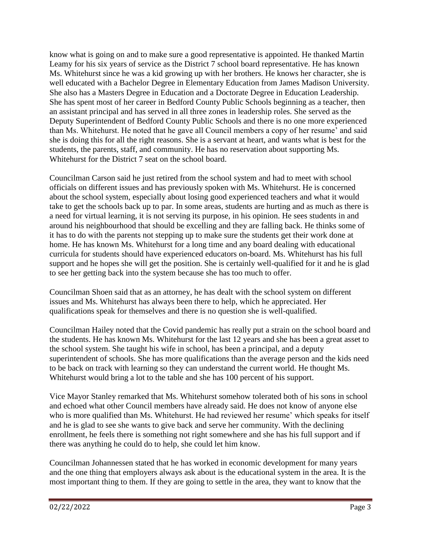know what is going on and to make sure a good representative is appointed. He thanked Martin Leamy for his six years of service as the District 7 school board representative. He has known Ms. Whitehurst since he was a kid growing up with her brothers. He knows her character, she is well educated with a Bachelor Degree in Elementary Education from James Madison University. She also has a Masters Degree in Education and a Doctorate Degree in Education Leadership. She has spent most of her career in Bedford County Public Schools beginning as a teacher, then an assistant principal and has served in all three zones in leadership roles. She served as the Deputy Superintendent of Bedford County Public Schools and there is no one more experienced than Ms. Whitehurst. He noted that he gave all Council members a copy of her resume' and said she is doing this for all the right reasons. She is a servant at heart, and wants what is best for the students, the parents, staff, and community. He has no reservation about supporting Ms. Whitehurst for the District 7 seat on the school board.

Councilman Carson said he just retired from the school system and had to meet with school officials on different issues and has previously spoken with Ms. Whitehurst. He is concerned about the school system, especially about losing good experienced teachers and what it would take to get the schools back up to par. In some areas, students are hurting and as much as there is a need for virtual learning, it is not serving its purpose, in his opinion. He sees students in and around his neighbourhood that should be excelling and they are falling back. He thinks some of it has to do with the parents not stepping up to make sure the students get their work done at home. He has known Ms. Whitehurst for a long time and any board dealing with educational curricula for students should have experienced educators on-board. Ms. Whitehurst has his full support and he hopes she will get the position. She is certainly well-qualified for it and he is glad to see her getting back into the system because she has too much to offer.

Councilman Shoen said that as an attorney, he has dealt with the school system on different issues and Ms. Whitehurst has always been there to help, which he appreciated. Her qualifications speak for themselves and there is no question she is well-qualified.

Councilman Hailey noted that the Covid pandemic has really put a strain on the school board and the students. He has known Ms. Whitehurst for the last 12 years and she has been a great asset to the school system. She taught his wife in school, has been a principal, and a deputy superintendent of schools. She has more qualifications than the average person and the kids need to be back on track with learning so they can understand the current world. He thought Ms. Whitehurst would bring a lot to the table and she has 100 percent of his support.

Vice Mayor Stanley remarked that Ms. Whitehurst somehow tolerated both of his sons in school and echoed what other Council members have already said. He does not know of anyone else who is more qualified than Ms. Whitehurst. He had reviewed her resume' which speaks for itself and he is glad to see she wants to give back and serve her community. With the declining enrollment, he feels there is something not right somewhere and she has his full support and if there was anything he could do to help, she could let him know.

Councilman Johannessen stated that he has worked in economic development for many years and the one thing that employers always ask about is the educational system in the area. It is the most important thing to them. If they are going to settle in the area, they want to know that the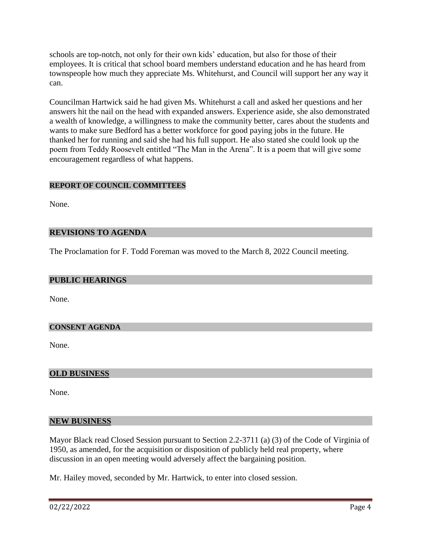schools are top-notch, not only for their own kids' education, but also for those of their employees. It is critical that school board members understand education and he has heard from townspeople how much they appreciate Ms. Whitehurst, and Council will support her any way it can.

Councilman Hartwick said he had given Ms. Whitehurst a call and asked her questions and her answers hit the nail on the head with expanded answers. Experience aside, she also demonstrated a wealth of knowledge, a willingness to make the community better, cares about the students and wants to make sure Bedford has a better workforce for good paying jobs in the future. He thanked her for running and said she had his full support. He also stated she could look up the poem from Teddy Roosevelt entitled "The Man in the Arena". It is a poem that will give some encouragement regardless of what happens.

## **REPORT OF COUNCIL COMMITTEES**

None.

### **REVISIONS TO AGENDA**

The Proclamation for F. Todd Foreman was moved to the March 8, 2022 Council meeting.

### **PUBLIC HEARINGS**

None.

### **CONSENT AGENDA**

None.

### **OLD BUSINESS**

None.

### **NEW BUSINESS**

Mayor Black read Closed Session pursuant to Section 2.2-3711 (a) (3) of the Code of Virginia of 1950, as amended, for the acquisition or disposition of publicly held real property, where discussion in an open meeting would adversely affect the bargaining position.

Mr. Hailey moved, seconded by Mr. Hartwick, to enter into closed session.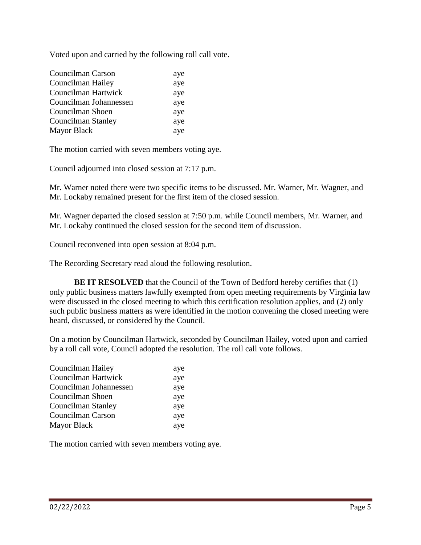Voted upon and carried by the following roll call vote.

| Councilman Carson      | aye |
|------------------------|-----|
| Councilman Hailey      | aye |
| Councilman Hartwick    | aye |
| Councilman Johannessen | aye |
| Councilman Shoen       | aye |
| Councilman Stanley     | aye |
| Mayor Black            | aye |

The motion carried with seven members voting aye.

Council adjourned into closed session at 7:17 p.m.

Mr. Warner noted there were two specific items to be discussed. Mr. Warner, Mr. Wagner, and Mr. Lockaby remained present for the first item of the closed session.

Mr. Wagner departed the closed session at 7:50 p.m. while Council members, Mr. Warner, and Mr. Lockaby continued the closed session for the second item of discussion.

Council reconvened into open session at 8:04 p.m.

The Recording Secretary read aloud the following resolution.

**BE IT RESOLVED** that the Council of the Town of Bedford hereby certifies that (1) only public business matters lawfully exempted from open meeting requirements by Virginia law were discussed in the closed meeting to which this certification resolution applies, and (2) only such public business matters as were identified in the motion convening the closed meeting were heard, discussed, or considered by the Council.

On a motion by Councilman Hartwick, seconded by Councilman Hailey, voted upon and carried by a roll call vote, Council adopted the resolution. The roll call vote follows.

| aye |
|-----|
| aye |
| aye |
| aye |
| aye |
| aye |
| aye |
|     |

The motion carried with seven members voting aye.